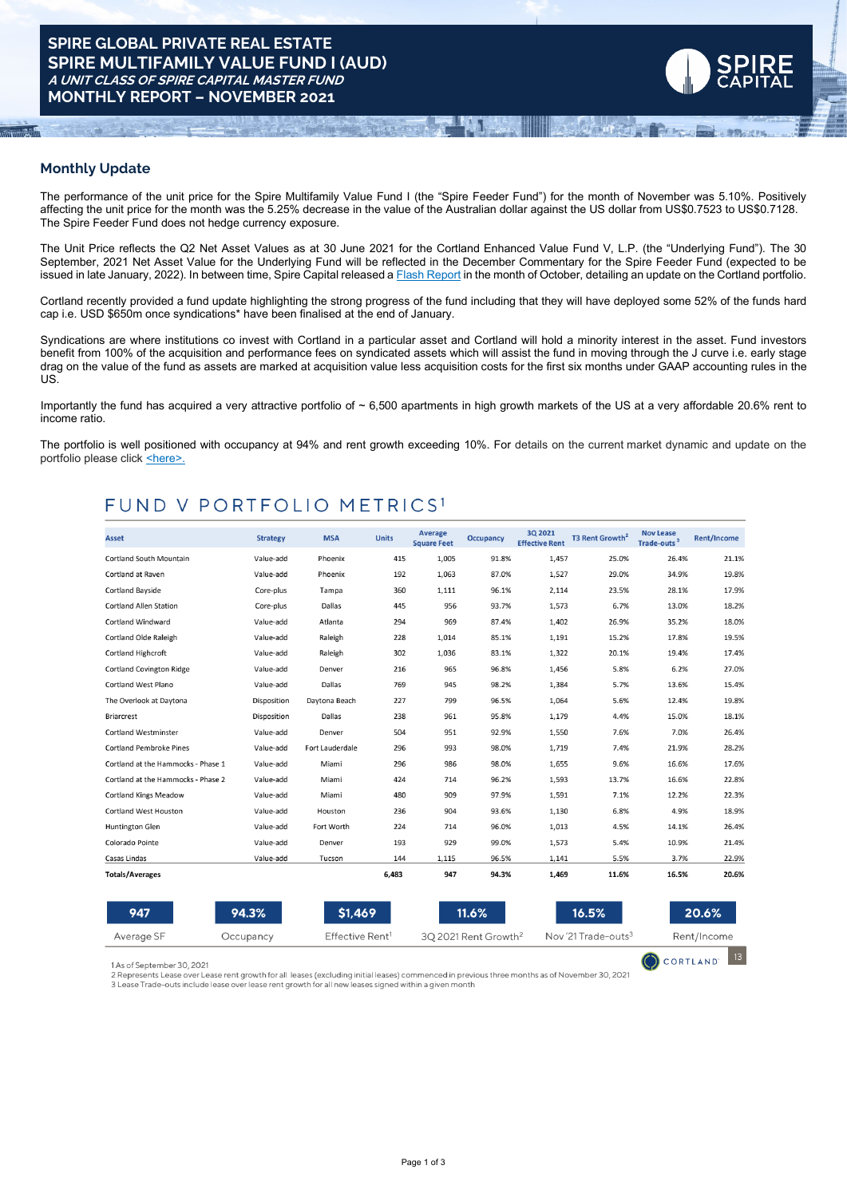# **Monthly Update**

The performance of the unit price for the Spire Multifamily Value Fund I (the "Spire Feeder Fund") for the month of November was 5.10%. Positively affecting the unit price for the month was the 5.25% decrease in the value of the Australian dollar against the US dollar from US\$0.7523 to US\$0.7128. The Spire Feeder Fund does not hedge currency exposure.

The Unit Price reflects the Q2 Net Asset Values as at 30 June 2021 for the Cortland Enhanced Value Fund V, L.P. (the "Underlying Fund"). The 30 September, 2021 Net Asset Value for the Underlying Fund will be reflected in the December Commentary for the Spire Feeder Fund (expected to be issued in late January, 2022). In between time, Spire Capital released a Flash [Report](https://www.dropbox.com/s/5c96p2os6vuminz/Multifamily%20Value%20Fund%20I%20Flash%20Report%20Oct%202021.pdf?dl=0) in the month of October, detailing an update on the Cortland portfolio.

Cortland recently provided a fund update highlighting the strong progress of the fund including that they will have deployed some 52% of the funds hard cap i.e. USD \$650m once syndications\* have been finalised at the end of January.

Syndications are where institutions co invest with Cortland in a particular asset and Cortland will hold a minority interest in the asset. Fund investors benefit from 100% of the acquisition and performance fees on syndicated assets which will assist the fund in moving through the J curve i.e. early stage drag on the value of the fund as assets are marked at acquisition value less acquisition costs for the first six months under GAAP accounting rules in the US.

Importantly the fund has acquired a very attractive portfolio of  $\sim 6,500$  apartments in high growth markets of the US at a very affordable 20.6% rent to income ratio.

The portfolio is well positioned with occupancy at 94% and rent growth exceeding 10%. For details on the current market dynamic and update on the portfolio please click [<here>.](https://www.dropbox.com/s/n5p00gdt4sm62qk/Cortland%20Enhanced%20Value%20Fund%20V%2C%20L.P.%20-%202021%20Annual%20Meeting%20%281%29.pdf?dl=0)

# FUND V PORTFOLIO METRICS<sup>1</sup>

| Asset                              | <b>Strategy</b> | <b>MSA</b>      | <b>Units</b> | Average<br><b>Square Feet</b> | <b>Occupancy</b> | 3Q 2021<br><b>Effective Rent</b> | T3 Rent Growth <sup>2</sup> | <b>Nov Lease</b><br>Trade-outs <sup>3</sup> | <b>Rent/Income</b> |
|------------------------------------|-----------------|-----------------|--------------|-------------------------------|------------------|----------------------------------|-----------------------------|---------------------------------------------|--------------------|
| <b>Cortland South Mountain</b>     | Value-add       | Phoenix         | 415          | 1,005                         | 91.8%            | 1,457                            | 25.0%                       | 26.4%                                       | 21.1%              |
| Cortland at Raven                  | Value-add       | Phoenix         | 192          | 1,063                         | 87.0%            | 1,527                            | 29.0%                       | 34.9%                                       | 19.8%              |
| Cortland Bayside                   | Core-plus       | Tampa           | 360          | 1,111                         | 96.1%            | 2,114                            | 23.5%                       | 28.1%                                       | 17.9%              |
| <b>Cortland Allen Station</b>      | Core-plus       | Dallas          | 445          | 956                           | 93.7%            | 1,573                            | 6.7%                        | 13.0%                                       | 18.2%              |
| Cortland Windward                  | Value-add       | Atlanta         | 294          | 969                           | 87.4%            | 1,402                            | 26.9%                       | 35.2%                                       | 18.0%              |
| <b>Cortland Olde Raleigh</b>       | Value-add       | Raleigh         | 228          | 1,014                         | 85.1%            | 1,191                            | 15.2%                       | 17.8%                                       | 19.5%              |
| Cortland Highcroft                 | Value-add       | Raleigh         | 302          | 1.036                         | 83.1%            | 1,322                            | 20.1%                       | 19.4%                                       | 17.4%              |
| <b>Cortland Covington Ridge</b>    | Value-add       | Denver          | 216          | 965                           | 96.8%            | 1,456                            | 5.8%                        | 6.2%                                        | 27.0%              |
| <b>Cortland West Plano</b>         | Value-add       | Dallas          | 769          | 945                           | 98.2%            | 1,384                            | 5.7%                        | 13.6%                                       | 15.4%              |
| The Overlook at Daytona            | Disposition     | Davtona Beach   | 227          | 799                           | 96.5%            | 1,064                            | 5.6%                        | 12.4%                                       | 19.8%              |
| <b>Briarcrest</b>                  | Disposition     | Dallas          | 238          | 961                           | 95.8%            | 1,179                            | 4.4%                        | 15.0%                                       | 18.1%              |
| <b>Cortland Westminster</b>        | Value-add       | Denver          | 504          | 951                           | 92.9%            | 1,550                            | 7.6%                        | 7.0%                                        | 26.4%              |
| <b>Cortland Pembroke Pines</b>     | Value-add       | Fort Lauderdale | 296          | 993                           | 98.0%            | 1,719                            | 7.4%                        | 21.9%                                       | 28.2%              |
| Cortland at the Hammocks - Phase 1 | Value-add       | Miami           | 296          | 986                           | 98.0%            | 1,655                            | 9.6%                        | 16.6%                                       | 17.6%              |
| Cortland at the Hammocks - Phase 2 | Value-add       | Miami           | 424          | 714                           | 96.2%            | 1,593                            | 13.7%                       | 16.6%                                       | 22.8%              |
| <b>Cortland Kings Meadow</b>       | Value-add       | Miami           | 480          | 909                           | 97.9%            | 1,591                            | 7.1%                        | 12.2%                                       | 22.3%              |
| <b>Cortland West Houston</b>       | Value-add       | Houston         | 236          | 904                           | 93.6%            | 1,130                            | 6.8%                        | 4.9%                                        | 18.9%              |
| Huntington Glen                    | Value-add       | Fort Worth      | 224          | 714                           | 96.0%            | 1,013                            | 4.5%                        | 14.1%                                       | 26.4%              |
| Colorado Pointe                    | Value-add       | Denver          | 193          | 929                           | 99.0%            | 1,573                            | 5.4%                        | 10.9%                                       | 21.4%              |
| Casas Lindas                       | Value-add       | Tucson          | 144          | 1,115                         | 96.5%            | 1,141                            | 5.5%                        | 3.7%                                        | 22.9%              |
| <b>Totals/Averages</b>             |                 |                 | 6,483        | 947                           | 94.3%            | 1,469                            | 11.6%                       | 16.5%                                       | 20.6%              |

| 947                        | 94.3%     | \$1,469                     | $11.6\%$                         | 16.5%                           | 20.6%                            |
|----------------------------|-----------|-----------------------------|----------------------------------|---------------------------------|----------------------------------|
| Average SF                 | Occupancy | Effective Rent <sup>1</sup> | 30 2021 Rent Growth <sup>2</sup> | Nov '21 Trade-outs <sup>3</sup> | Rent/Income                      |
| 1 As of September 30, 2021 |           |                             |                                  |                                 | $\bigodot$ CORTLAND $\bigcup$ 13 |

1 As of September 30, 2021

3 Lease Trade-outs include lease over lease rent growth for all new leases signed within a given month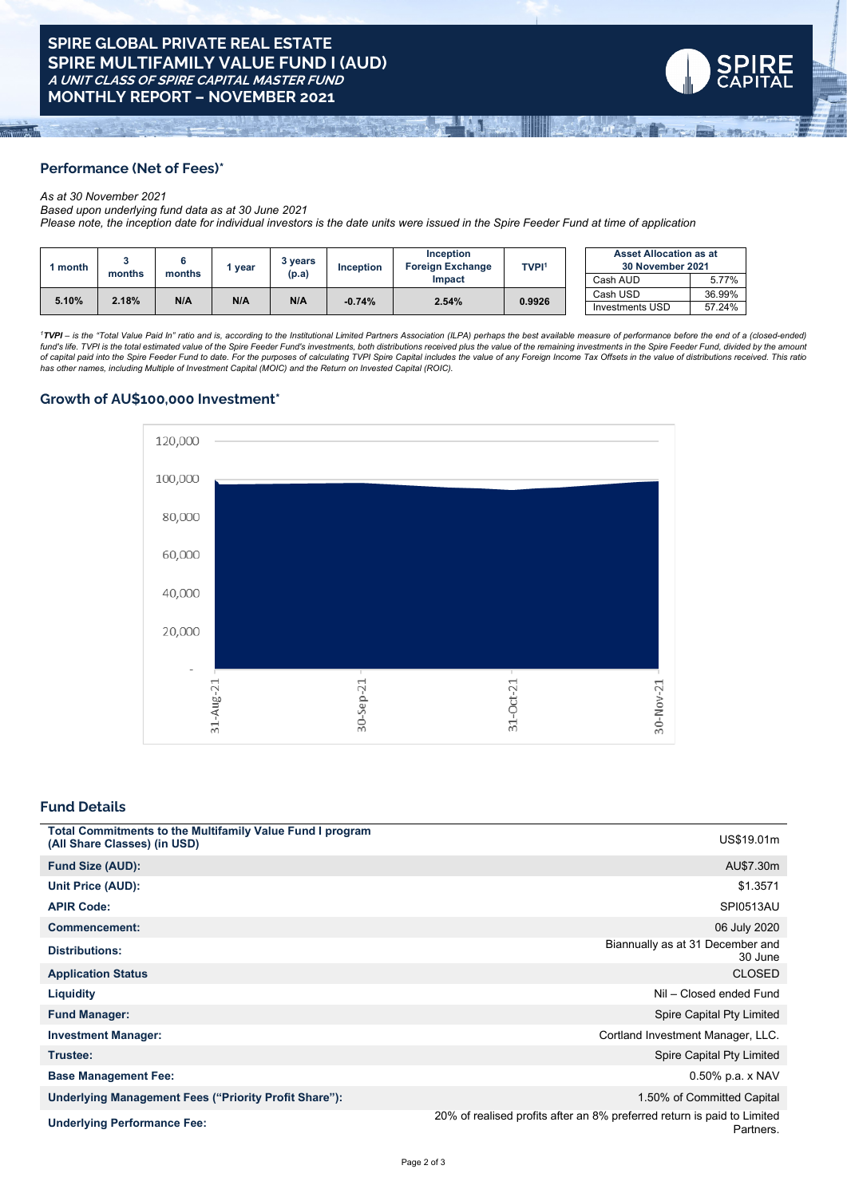

# **Performance (Net of Fees)\***

#### *As at 30 November 2021*

*Based upon underlying fund data as at 30 June 2021*

Please note, the inception date for individual investors is the date units were issued in the Spire Feeder Fund at time of application

| month |        | months | vear | 3 vears<br>(p.a) | <b>Inception</b> | <b>Inception</b><br><b>Foreign Exchange</b> | <b>TVPI1</b> | <b>Asset Allocation as at</b><br>30 November 2021 |        |
|-------|--------|--------|------|------------------|------------------|---------------------------------------------|--------------|---------------------------------------------------|--------|
|       | months |        |      |                  |                  | Impact                                      |              | Cash AUD                                          | 5.77%  |
| 5.10% | 2.18%  | N/A    | N/A  | N/A              | $-0.74%$         | 2.54%                                       | 0.9926       | Cash USD                                          | 36.99% |
|       |        |        |      |                  |                  |                                             |              | <b>Investments USD</b>                            | 57.24% |

<sup>1</sup>TVPI - is the "Total Value Paid In" ratio and is, according to the Institutional Limited Partners Association (ILPA) perhaps the best available measure of performance before the end of a (closed-ended) fund's life. TVPI is the total estimated value of the Spire Feeder Fund's investments, both distributions received plus the value of the remaining investments in the Spire Feeder Fund, divided by the amouni<br>of capital paid

#### **Growth of AU\$100,000 Investment\***



# **Fund Details**

| <b>Total Commitments to the Multifamily Value Fund I program</b><br>(All Share Classes) (in USD) | US\$19.01m                                                                           |
|--------------------------------------------------------------------------------------------------|--------------------------------------------------------------------------------------|
| <b>Fund Size (AUD):</b>                                                                          | AU\$7.30m                                                                            |
| Unit Price (AUD):                                                                                | \$1.3571                                                                             |
| <b>APIR Code:</b>                                                                                | <b>SPI0513AU</b>                                                                     |
| <b>Commencement:</b>                                                                             | 06 July 2020                                                                         |
| <b>Distributions:</b>                                                                            | Biannually as at 31 December and<br>30 June                                          |
| <b>Application Status</b>                                                                        | <b>CLOSED</b>                                                                        |
| <b>Liquidity</b>                                                                                 | Nil - Closed ended Fund                                                              |
| <b>Fund Manager:</b>                                                                             | Spire Capital Pty Limited                                                            |
| <b>Investment Manager:</b>                                                                       | Cortland Investment Manager, LLC.                                                    |
| Trustee:                                                                                         | Spire Capital Pty Limited                                                            |
| <b>Base Management Fee:</b>                                                                      | $0.50\%$ p.a. x NAV                                                                  |
| Underlying Management Fees ("Priority Profit Share"):                                            | 1.50% of Committed Capital                                                           |
| <b>Underlying Performance Fee:</b>                                                               | 20% of realised profits after an 8% preferred return is paid to Limited<br>Partners. |